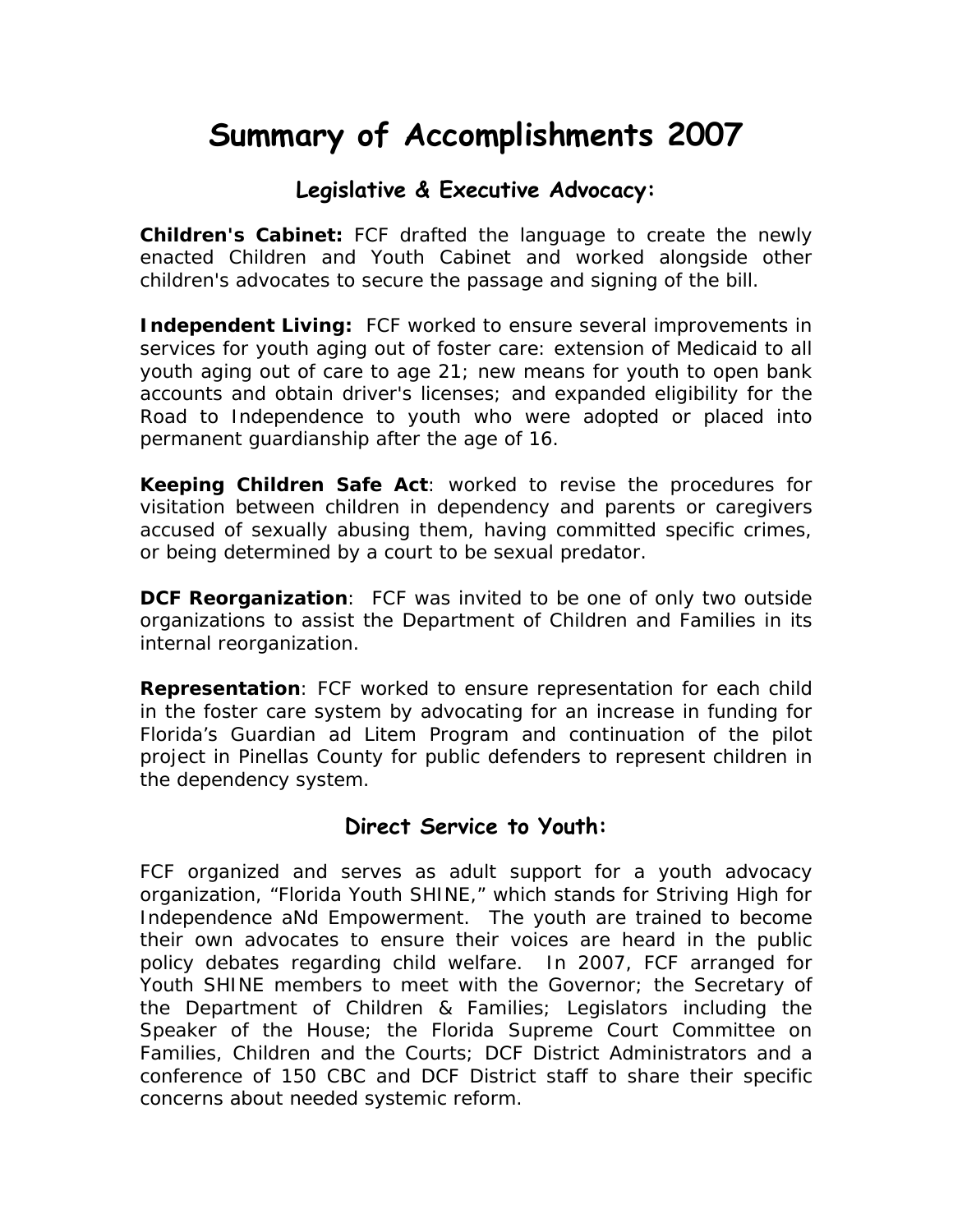# **Summary of Accomplishments 2007**

# **Legislative & Executive Advocacy:**

**Children's Cabinet:** FCF drafted the language to create the newly enacted Children and Youth Cabinet and worked alongside other children's advocates to secure the passage and signing of the bill.

**Independent Living:** FCF worked to ensure several improvements in services for youth aging out of foster care: extension of Medicaid to all youth aging out of care to age 21; new means for youth to open bank accounts and obtain driver's licenses; and expanded eligibility for the Road to Independence to youth who were adopted or placed into permanent guardianship after the age of 16.

**Keeping Children Safe Act**: worked to revise the procedures for visitation between children in dependency and parents or caregivers accused of sexually abusing them, having committed specific crimes, or being determined by a court to be sexual predator.

**DCF Reorganization**: FCF was invited to be one of only two outside organizations to assist the Department of Children and Families in its internal reorganization.

**Representation**: FCF worked to ensure representation for each child in the foster care system by advocating for an increase in funding for Florida's Guardian ad Litem Program and continuation of the pilot project in Pinellas County for public defenders to represent children in the dependency system.

### **Direct Service to Youth:**

FCF organized and serves as adult support for a youth advocacy organization, "Florida Youth SHINE," which stands for Striving High for Independence aNd Empowerment. The youth are trained to become their own advocates to ensure their voices are heard in the public policy debates regarding child welfare. In 2007, FCF arranged for Youth SHINE members to meet with the Governor; the Secretary of the Department of Children & Families; Legislators including the Speaker of the House; the Florida Supreme Court Committee on Families, Children and the Courts; DCF District Administrators and a conference of 150 CBC and DCF District staff to share their specific concerns about needed systemic reform.